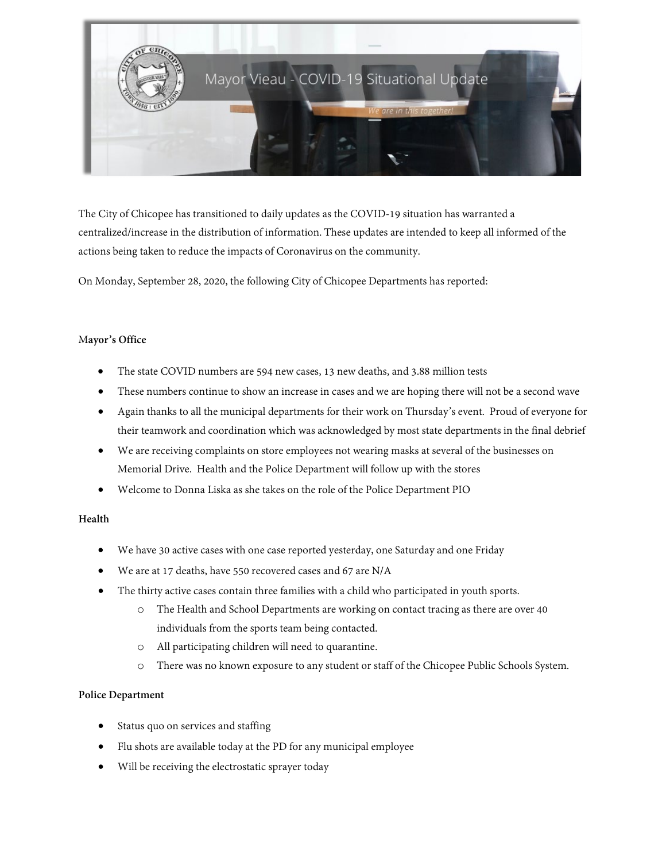

The City of Chicopee has transitioned to daily updates as the COVID-19 situation has warranted a centralized/increase in the distribution of information. These updates are intended to keep all informed of the actions being taken to reduce the impacts of Coronavirus on the community.

On Monday, September 28, 2020, the following City of Chicopee Departments has reported:

# M**ayor's Office**

- The state COVID numbers are 594 new cases, 13 new deaths, and 3.88 million tests
- These numbers continue to show an increase in cases and we are hoping there will not be a second wave
- Again thanks to all the municipal departments for their work on Thursday's event. Proud of everyone for their teamwork and coordination which was acknowledged by most state departments in the final debrief
- We are receiving complaints on store employees not wearing masks at several of the businesses on Memorial Drive. Health and the Police Department will follow up with the stores
- Welcome to Donna Liska as she takes on the role of the Police Department PIO

# **Health**

- We have 30 active cases with one case reported yesterday, one Saturday and one Friday
- We are at 17 deaths, have 550 recovered cases and 67 are N/A
- The thirty active cases contain three families with a child who participated in youth sports.
	- o The Health and School Departments are working on contact tracing as there are over 40 individuals from the sports team being contacted.
	- o All participating children will need to quarantine.
	- o There was no known exposure to any student or staff of the Chicopee Public Schools System.

## **Police Department**

- Status quo on services and staffing
- Flu shots are available today at the PD for any municipal employee
- Will be receiving the electrostatic sprayer today